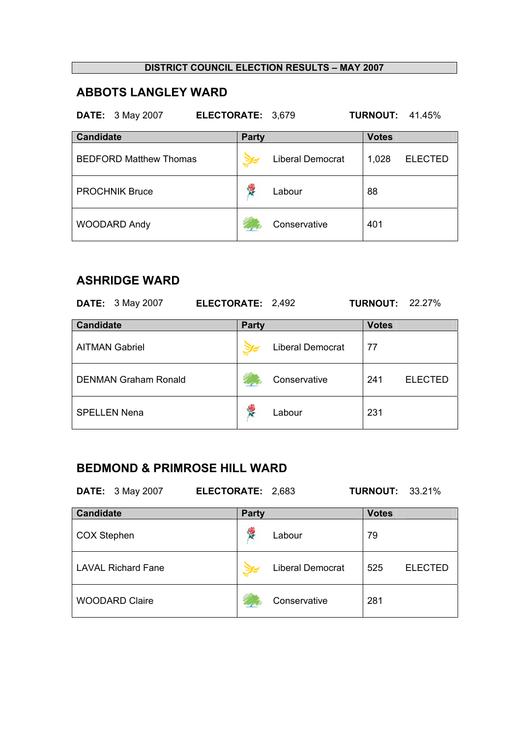## **ABBOTS LANGLEY WARD**

**DATE:** 3 May 2007 **ELECTORATE:** 3,679 **TURNOUT:** 41.45%

| <b>Candidate</b>              | <b>Party</b>            | <b>Votes</b>            |
|-------------------------------|-------------------------|-------------------------|
| <b>BEDFORD Matthew Thomas</b> | <b>Liberal Democrat</b> | 1,028<br><b>ELECTED</b> |
| <b>PROCHNIK Bruce</b>         | Labour                  | 88                      |
| <b>WOODARD Andy</b>           | Conservative            | 401                     |

## **ASHRIDGE WARD**

| <b>DATE:</b> 3 May 2007     | ELECTORATE: 2,492 |                         | <b>TURNOUT: 22.27%</b> |                |
|-----------------------------|-------------------|-------------------------|------------------------|----------------|
| <b>Candidate</b>            | <b>Party</b>      |                         | <b>Votes</b>           |                |
| <b>AITMAN Gabriel</b>       |                   | <b>Liberal Democrat</b> | 77                     |                |
| <b>DENMAN Graham Ronald</b> |                   | Conservative            | 241                    | <b>ELECTED</b> |
| <b>SPELLEN Nena</b>         | 慢                 | Labour                  | 231                    |                |

# **BEDMOND & PRIMROSE HILL WARD**

| <b>DATE:</b> 3 May 2007   | ELECTORATE: 2,683 |                  | <b>TURNOUT:</b> | 33.21%         |
|---------------------------|-------------------|------------------|-----------------|----------------|
| <b>Candidate</b>          | <b>Party</b>      |                  | <b>Votes</b>    |                |
| <b>COX Stephen</b>        |                   | Labour           | 79              |                |
| <b>LAVAL Richard Fane</b> |                   | Liberal Democrat | 525             | <b>ELECTED</b> |
| <b>WOODARD Claire</b>     |                   | Conservative     | 281             |                |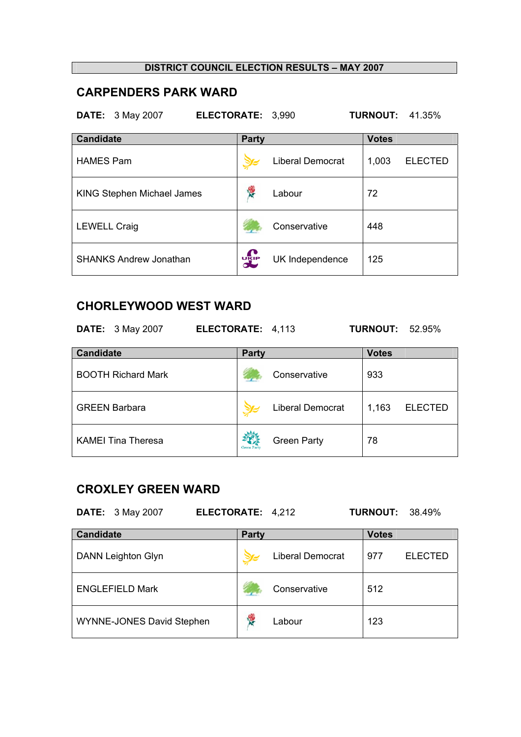## **CARPENDERS PARK WARD**

**DATE:** 3 May 2007 **ELECTORATE:** 3,990 **TURNOUT:** 41.35%

| <b>Candidate</b>                  | <b>Party</b> |                         | <b>Votes</b> |                |
|-----------------------------------|--------------|-------------------------|--------------|----------------|
| <b>HAMES Pam</b>                  |              | <b>Liberal Democrat</b> | 1,003        | <b>ELECTED</b> |
| <b>KING Stephen Michael James</b> | ķ.           | Labour                  | 72           |                |
| <b>LEWELL Craig</b>               |              | Conservative            | 448          |                |
| <b>SHANKS Andrew Jonathan</b>     | <b>DELP</b>  | UK Independence         | 125          |                |

## **CHORLEYWOOD WEST WARD**

| <b>DATE:</b> 3 May 2007   | ELECTORATE: 4,113  |                         | <b>TURNOUT: 52.95%</b>  |
|---------------------------|--------------------|-------------------------|-------------------------|
| <b>Candidate</b>          | <b>Party</b>       |                         | <b>Votes</b>            |
| <b>BOOTH Richard Mark</b> |                    | Conservative            | 933                     |
| <b>GREEN Barbara</b>      |                    | <b>Liberal Democrat</b> | 1,163<br><b>ELECTED</b> |
| <b>KAMEI Tina Theresa</b> | <b>Green Party</b> | <b>Green Party</b>      | 78                      |

### **CROXLEY GREEN WARD**

| 3 May 2007<br><b>DATE:</b><br>ELECTORATE: 4,212 |              |                         | <b>TURNOUT:</b> | 38.49%         |
|-------------------------------------------------|--------------|-------------------------|-----------------|----------------|
| <b>Candidate</b>                                | <b>Party</b> |                         | <b>Votes</b>    |                |
| <b>DANN Leighton Glyn</b>                       |              | <b>Liberal Democrat</b> | 977             | <b>ELECTED</b> |
| <b>ENGLEFIELD Mark</b>                          |              | Conservative            | 512             |                |
| <b>WYNNE-JONES David Stephen</b>                | <b>RES</b>   | Labour                  | 123             |                |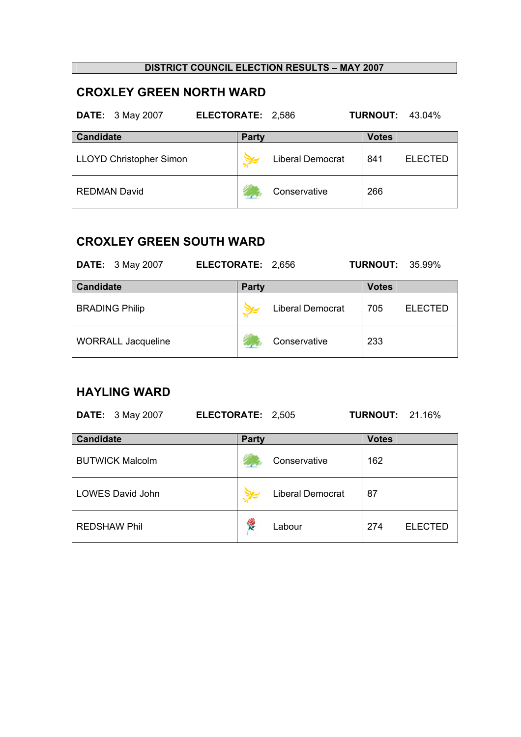# **CROXLEY GREEN NORTH WARD**

|  | <b>DATE:</b> 3 May 2007 | <b>ELECTORATE: 2,586</b> |  | <b>TURNOUT: 43.04%</b> |  |
|--|-------------------------|--------------------------|--|------------------------|--|
|--|-------------------------|--------------------------|--|------------------------|--|

| <b>Candidate</b>        | <b>Party</b> |                         | <b>Votes</b> |                |
|-------------------------|--------------|-------------------------|--------------|----------------|
| LLOYD Christopher Simon |              | <b>Liberal Democrat</b> | 841          | <b>ELECTED</b> |
| <b>REDMAN David</b>     |              | Conservative            | 266          |                |

## **CROXLEY GREEN SOUTH WARD**

| <b>DATE:</b> 3 May 2007   | ELECTORATE: 2,656 |                         | <b>TURNOUT: 35.99%</b> |                |
|---------------------------|-------------------|-------------------------|------------------------|----------------|
| <b>Candidate</b>          | <b>Party</b>      |                         | <b>Votes</b>           |                |
| <b>BRADING Philip</b>     |                   | <b>Liberal Democrat</b> | 705                    | <b>ELECTED</b> |
| <b>WORRALL Jacqueline</b> |                   | Conservative            | 233                    |                |

## **HAYLING WARD**

| <b>DATE:</b> 3 May 2007 | ELECTORATE: 2,505 |                         | <b>TURNOUT: 21.16%</b> |
|-------------------------|-------------------|-------------------------|------------------------|
| <b>Candidate</b>        | <b>Party</b>      |                         | <b>Votes</b>           |
| <b>BUTWICK Malcolm</b>  |                   | Conservative            | 162                    |
| LOWES David John        |                   | <b>Liberal Democrat</b> | 87                     |
| <b>REDSHAW Phil</b>     | <b>RE</b>         | Labour                  | 274<br><b>ELECTED</b>  |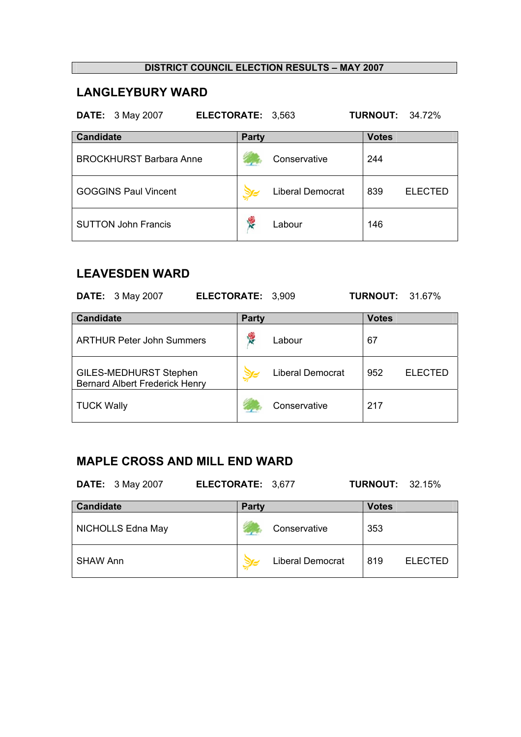## **LANGLEYBURY WARD**

**DATE:** 3 May 2007 **ELECTORATE:** 3,563 **TURNOUT:** 34.72%

| <b>Candidate</b>               | <b>Party</b>            | <b>Votes</b>          |
|--------------------------------|-------------------------|-----------------------|
| <b>BROCKHURST Barbara Anne</b> | Conservative            | 244                   |
| <b>GOGGINS Paul Vincent</b>    | <b>Liberal Democrat</b> | 839<br><b>ELECTED</b> |
| <b>SUTTON John Francis</b>     | Labour                  | 146                   |

## **LEAVESDEN WARD**

|                   | <b>DATE:</b> 3 May 2007                                                | ELECTORATE: 3,909 |              |                         | <b>TURNOUT: 31.67%</b> |                |
|-------------------|------------------------------------------------------------------------|-------------------|--------------|-------------------------|------------------------|----------------|
| <b>Candidate</b>  |                                                                        |                   | <b>Party</b> |                         | <b>Votes</b>           |                |
|                   | <b>ARTHUR Peter John Summers</b>                                       |                   | <b>SE</b>    | Labour                  | 67                     |                |
|                   | <b>GILES-MEDHURST Stephen</b><br><b>Bernard Albert Frederick Henry</b> |                   |              | <b>Liberal Democrat</b> | 952                    | <b>ELECTED</b> |
| <b>TUCK Wally</b> |                                                                        |                   |              | Conservative            | 217                    |                |

# **MAPLE CROSS AND MILL END WARD**

**DATE:** 3 May 2007 **ELECTORATE:** 3,677 **TURNOUT:** 32.15%

| <b>Candidate</b>  | <b>Party</b> |                         | <b>Votes</b> |                |
|-------------------|--------------|-------------------------|--------------|----------------|
| NICHOLLS Edna May |              | Conservative            | 353          |                |
| <b>SHAW Ann</b>   |              | <b>Liberal Democrat</b> | 819          | <b>ELECTED</b> |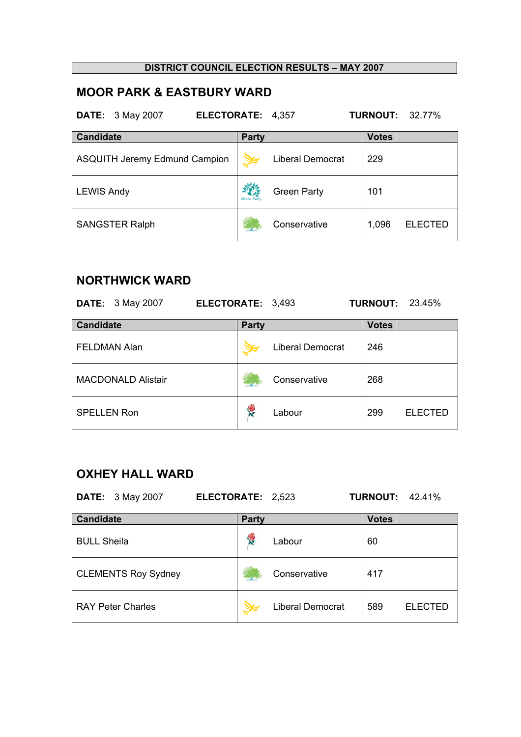# **MOOR PARK & EASTBURY WARD**

**DATE:** 3 May 2007 **ELECTORATE:** 4,357 **TURNOUT:** 32.77%

| <b>Candidate</b>                     | <b>Party</b>       |                         | <b>Votes</b> |                |
|--------------------------------------|--------------------|-------------------------|--------------|----------------|
| <b>ASQUITH Jeremy Edmund Campion</b> |                    | <b>Liberal Democrat</b> | 229          |                |
| <b>LEWIS Andy</b>                    | <b>Green Party</b> | <b>Green Party</b>      | 101          |                |
| <b>SANGSTER Ralph</b>                |                    | Conservative            | 1,096        | <b>ELECTED</b> |

# **NORTHWICK WARD**

| <b>DATE:</b> 3 May 2007   | ELECTORATE: 3,493 |                         | <b>TURNOUT: 23.45%</b> |                |
|---------------------------|-------------------|-------------------------|------------------------|----------------|
| <b>Candidate</b>          | <b>Party</b>      |                         | <b>Votes</b>           |                |
| <b>FELDMAN Alan</b>       |                   | <b>Liberal Democrat</b> | 246                    |                |
| <b>MACDONALD Alistair</b> |                   | Conservative            | 268                    |                |
| <b>SPELLEN Ron</b>        | Y.                | Labour                  | 299                    | <b>ELECTED</b> |

# **OXHEY HALL WARD**

| <b>DATE:</b> 3 May 2007<br>ELECTORATE: 2,523 |                 |                         | <b>TURNOUT:</b> | 42.41%         |
|----------------------------------------------|-----------------|-------------------------|-----------------|----------------|
| <b>Candidate</b>                             | <b>Party</b>    |                         | <b>Votes</b>    |                |
| <b>BULL Sheila</b>                           | <b>REGISTER</b> | Labour                  | 60              |                |
| <b>CLEMENTS Roy Sydney</b>                   |                 | Conservative            | 417             |                |
| <b>RAY Peter Charles</b>                     |                 | <b>Liberal Democrat</b> | 589             | <b>ELECTED</b> |